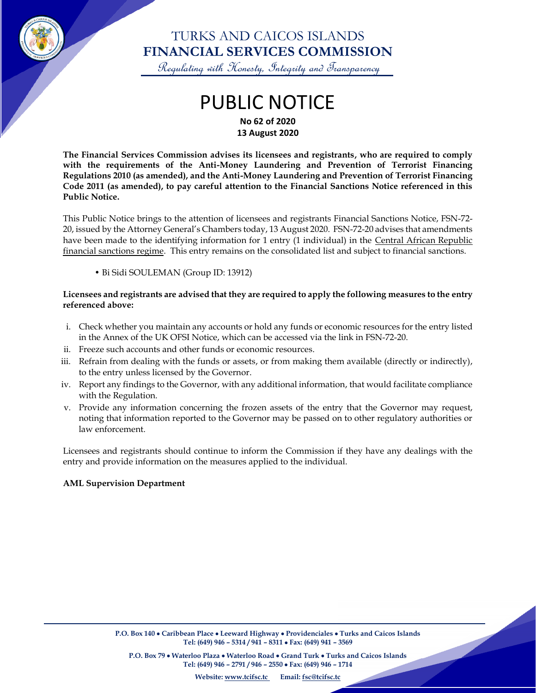

### TURKS AND CAICOS ISLANDS **FINANCIAL SERVICES COMMISSION**

Regulating with Honesty, Integrity and Transparency

# PUBLIC NOTICE **No 62 of 2020**

**13 August 2020**

**The Financial Services Commission advises its licensees and registrants, who are required to comply with the requirements of the Anti-Money Laundering and Prevention of Terrorist Financing Regulations 2010 (as amended), and the Anti-Money Laundering and Prevention of Terrorist Financing Code 2011 (as amended), to pay careful attention to the Financial Sanctions Notice referenced in this Public Notice.**

This Public Notice brings to the attention of licensees and registrants Financial Sanctions Notice, FSN-72- 20, issued by the Attorney General's Chambers today, 13 August 2020. FSN-72-20 advises that amendments have been made to the identifying information for 1 entry (1 individual) in the Central African Republic financial sanctions regime. This entry remains on the consolidated list and subject to financial sanctions.

• Bi Sidi SOULEMAN (Group ID: 13912)

#### **Licensees and registrants are advised that they are required to apply the following measures to the entry referenced above:**

- i. Check whether you maintain any accounts or hold any funds or economic resources for the entry listed in the Annex of the UK OFSI Notice, which can be accessed via the link in FSN-72-20.
- ii. Freeze such accounts and other funds or economic resources.
- iii. Refrain from dealing with the funds or assets, or from making them available (directly or indirectly), to the entry unless licensed by the Governor.
- iv. Report any findings to the Governor, with any additional information, that would facilitate compliance with the Regulation.
- v. Provide any information concerning the frozen assets of the entry that the Governor may request, noting that information reported to the Governor may be passed on to other regulatory authorities or law enforcement.

Licensees and registrants should continue to inform the Commission if they have any dealings with the entry and provide information on the measures applied to the individual.

#### **AML Supervision Department**

 $\overline{\phantom{a}}$ 

**P.O. Box 79** • **Waterloo Plaza** • **Waterloo Road** • **Grand Turk** • **Turks and Caicos Islands Tel: (649) 946 – 2791 / 946 – 2550** • **Fax: (649) 946 – 1714**